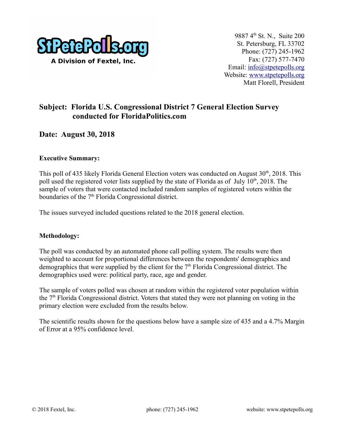

## **Subject: Florida U.S. Congressional District 7 General Election Survey conducted for FloridaPolitics.com**

## **Date: August 30, 2018**

#### **Executive Summary:**

This poll of 435 likely Florida General Election voters was conducted on August  $30<sup>th</sup>$ , 2018. This poll used the registered voter lists supplied by the state of Florida as of July  $10<sup>th</sup>$ , 2018. The sample of voters that were contacted included random samples of registered voters within the boundaries of the  $7<sup>th</sup>$  Florida Congressional district.

The issues surveyed included questions related to the 2018 general election.

#### **Methodology:**

The poll was conducted by an automated phone call polling system. The results were then weighted to account for proportional differences between the respondents' demographics and demographics that were supplied by the client for the  $7<sup>th</sup>$  Florida Congressional district. The demographics used were: political party, race, age and gender.

The sample of voters polled was chosen at random within the registered voter population within the  $7<sup>th</sup>$  Florida Congressional district. Voters that stated they were not planning on voting in the primary election were excluded from the results below.

The scientific results shown for the questions below have a sample size of 435 and a 4.7% Margin of Error at a 95% confidence level.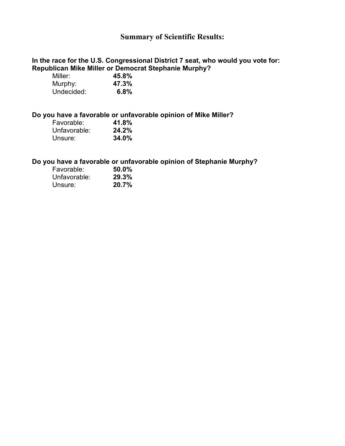## **Summary of Scientific Results:**

#### **In the race for the U.S. Congressional District 7 seat, who would you vote for: Republican Mike Miller or Democrat Stephanie Murphy?**

| Miller:    | 45.8% |
|------------|-------|
| Murphy:    | 47.3% |
| Undecided: | 6.8%  |

#### **Do you have a favorable or unfavorable opinion of Mike Miller?**

| Favorable:   | 41.8%    |
|--------------|----------|
| Unfavorable: | 24.2%    |
| Unsure:      | $34.0\%$ |

#### **Do you have a favorable or unfavorable opinion of Stephanie Murphy?**

| Favorable:   | 50.0% |
|--------------|-------|
| Unfavorable: | 29.3% |
| Unsure:      | 20.7% |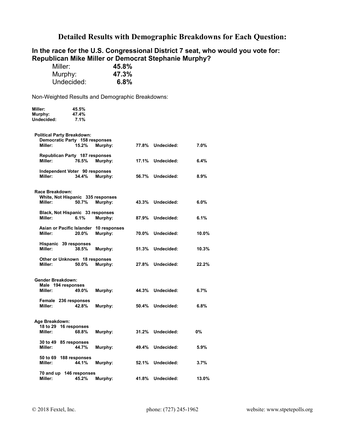## **Detailed Results with Demographic Breakdowns for Each Question:**

### **In the race for the U.S. Congressional District 7 seat, who would you vote for: Republican Mike Miller or Democrat Stephanie Murphy?**

| Miller:    | 45.8% |
|------------|-------|
| Murphy:    | 47.3% |
| Undecided: | 6.8%  |

Non-Weighted Results and Demographic Breakdowns:

| Miller:<br>Murphy:<br>Undecided:  | 45.5%<br>47.4%<br>7.1%                  |                                        |       |                  |       |
|-----------------------------------|-----------------------------------------|----------------------------------------|-------|------------------|-------|
|                                   |                                         |                                        |       |                  |       |
| <b>Political Party Breakdown:</b> |                                         |                                        |       |                  |       |
| Miller:                           | Democratic Party 158 responses<br>15.2% | Murphy:                                |       | 77.8% Undecided: | 7.0%  |
|                                   | Republican Party 187 responses          |                                        |       |                  |       |
| Miller:                           | 76.5%                                   | Murphy:                                | 17.1% | Undecided:       | 6.4%  |
|                                   | Independent Voter 90 responses          |                                        |       |                  |       |
| Miller:                           | 34.4%                                   | Murphy:                                | 56.7% | Undecided:       | 8.9%  |
|                                   |                                         |                                        |       |                  |       |
| Race Breakdown:                   | White, Not Hispanic 335 responses       |                                        |       |                  |       |
| Miller:                           | 50.7%                                   | Murphy:                                | 43.3% | Undecided:       | 6.0%  |
|                                   | Black, Not Hispanic 33 responses        |                                        |       |                  |       |
| Miller:                           | 6.1%                                    | Murphy:                                | 87.9% | Undecided:       | 6.1%  |
|                                   |                                         | Asian or Pacific Islander 10 responses |       |                  |       |
| Miller:                           | 20.0%                                   | Murphy:                                | 70.0% | Undecided:       | 10.0% |
| Miller:                           | Hispanic 39 responses<br>38.5%          | Murphy:                                | 51.3% | Undecided:       | 10.3% |
|                                   |                                         |                                        |       |                  |       |
| Miller:                           | Other or Unknown 18 responses<br>50.0%  | Murphy:                                | 27.8% | Undecided:       | 22.2% |
|                                   |                                         |                                        |       |                  |       |
| <b>Gender Breakdown:</b>          |                                         |                                        |       |                  |       |
| Male 194 responses                |                                         |                                        |       |                  |       |
| Miller:                           | 49.0%                                   | Murphy:                                | 44.3% | Undecided:       | 6.7%  |
| Miller:                           | Female 236 responses<br>42.8%           | Murphy:                                | 50.4% | Undecided:       | 6.8%  |
|                                   |                                         |                                        |       |                  |       |
| Age Breakdown:                    |                                         |                                        |       |                  |       |
| 18 to 29 16 responses             |                                         |                                        |       |                  |       |
| Miller:                           | 68.8%                                   | Murphy:                                | 31.2% | Undecided:       | 0%    |
| 30 to 49 85 responses             |                                         |                                        |       |                  |       |
| Miller:                           | 44.7%                                   | Murphy:                                |       | 49.4% Undecided: | 5.9%  |
| 50 to 69                          | 188 responses                           |                                        |       |                  |       |
| Miller:                           | 44.1%                                   | Murphy:                                | 52.1% | Undecided:       | 3.7%  |
|                                   | 70 and up 146 responses                 |                                        |       |                  |       |
| Miller:                           | 45.2%                                   | Murphy:                                | 41.8% | Undecided:       | 13.0% |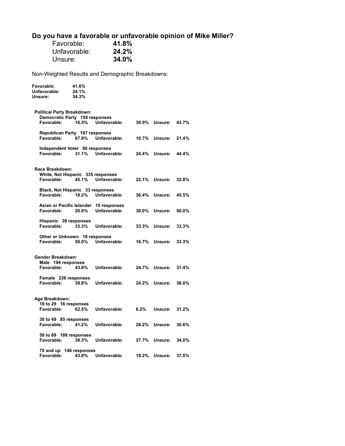# **Do you have a favorable or unfavorable opinion of Mike Miller?**

| Favorable:   | 41.8% |
|--------------|-------|
| Unfavorable: | 24.2% |
| Unsure:      | 34.0% |

**Favorable: 41.6%** 

Non-Weighted Results and Demographic Breakdowns:

| Unfavorable:<br>Unsure:                                            | 24.1%<br>34.3% |                                                        |         |                |       |
|--------------------------------------------------------------------|----------------|--------------------------------------------------------|---------|----------------|-------|
| <b>Political Party Breakdown:</b>                                  |                |                                                        |         |                |       |
| Democratic Party 158 responses<br>Favorable:                       | 16.5%          | Unfavorable:                                           | 39.9%   | Unsure:        | 43.7% |
| Republican Party 187 responses<br>Favorable:                       | 67.9%          | Unfavorable:                                           | 10.7%   | Unsure:        | 21.4% |
| Independent Voter 90 responses                                     |                |                                                        |         |                |       |
| Favorable:                                                         | 31.1%          | Unfavorable:                                           | 24.4%   | <b>Unsure:</b> | 44.4% |
| Race Breakdown:<br>White, Not Hispanic 335 responses<br>Favorable: | 45.1%          | Unfavorable:                                           | 22.1%   | Unsure:        | 32.8% |
| Black, Not Hispanic 33 responses<br>Favorable:                     | 18.2%          | Unfavorable:                                           | 36.4%   | Unsure:        | 45.5% |
| Favorable:                                                         | 20.0%          | Asian or Pacific Islander 10 responses<br>Unfavorable: | 30.0%   | Unsure:        | 50.0% |
| Hispanic 39 responses<br>Favorable:                                | 33.3%          | Unfavorable:                                           | 33.3%   | Unsure:        | 33.3% |
| Other or Unknown 18 responses<br>Favorable:                        | 50.0%          | Unfavorable:                                           | 16.7%   | Unsure:        | 33.3% |
| <b>Gender Breakdown:</b>                                           |                |                                                        |         |                |       |
| Male 194 responses<br>Favorable:                                   | 43.8%          | Unfavorable:                                           |         | 24.7% Unsure:  | 31.4% |
| Female 236 responses<br>Favorable:                                 | 39.8%          | Unfavorable:                                           |         | 24.2% Unsure:  | 36.0% |
| Age Breakdown:                                                     |                |                                                        |         |                |       |
| 18 to 29 16 responses<br>Favorable:                                | 62.5%          | Unfavorable:                                           | $6.2\%$ | Unsure:        | 31.2% |
| 30 to 49 85 responses<br>Favorable:                                | 41.2%          | Unfavorable:                                           | 28.2%   | Unsure:        | 30.6% |
| 50 to 69 188 responses<br>Favorable:                               | 38.3%          | Unfavorable:                                           |         | 27.7% Unsure:  | 34.0% |
| 70 and up 146 responses<br>Favorable:                              | 43.8%          | Unfavorable:                                           | 19.2%   | Unsure:        | 37.0% |